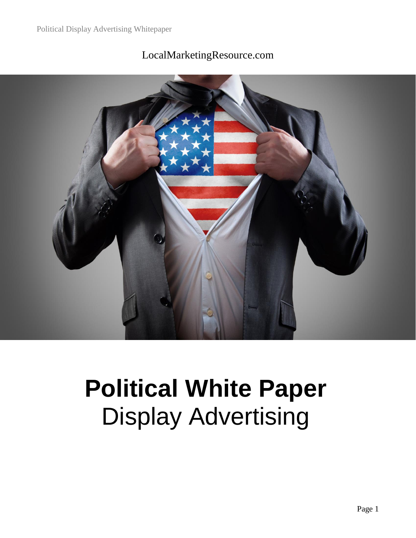

#### LocalMarketingResource.com

## **Political White Paper** Display Advertising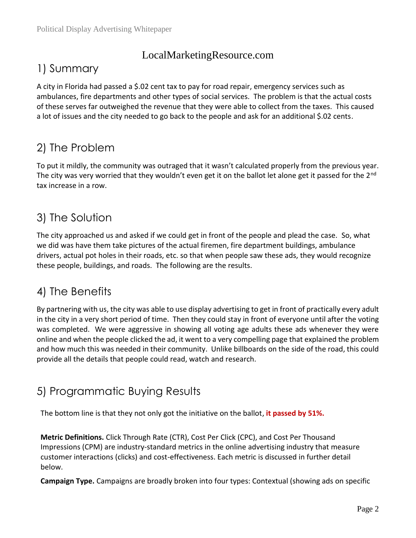#### LocalMarketingResource.com

#### 1) Summary

A city in Florida had passed a \$.02 cent tax to pay for road repair, emergency services such as ambulances, fire departments and other types of social services. The problem is that the actual costs of these serves far outweighed the revenue that they were able to collect from the taxes. This caused a lot of issues and the city needed to go back to the people and ask for an additional \$.02 cents.

### 2) The Problem

To put it mildly, the community was outraged that it wasn't calculated properly from the previous year. The city was very worried that they wouldn't even get it on the ballot let alone get it passed for the 2<sup>nd</sup> tax increase in a row.

### 3) The Solution

The city approached us and asked if we could get in front of the people and plead the case. So, what we did was have them take pictures of the actual firemen, fire department buildings, ambulance drivers, actual pot holes in their roads, etc. so that when people saw these ads, they would recognize these people, buildings, and roads. The following are the results.

### 4) The Benefits

By partnering with us, the city was able to use display advertising to get in front of practically every adult in the city in a very short period of time. Then they could stay in front of everyone until after the voting was completed. We were aggressive in showing all voting age adults these ads whenever they were online and when the people clicked the ad, it went to a very compelling page that explained the problem and how much this was needed in their community. Unlike billboards on the side of the road, this could provide all the details that people could read, watch and research.

#### 5) Programmatic Buying Results

The bottom line is that they not only got the initiative on the ballot, **it passed by 51%.**

**Metric Definitions.** Click Through Rate (CTR), Cost Per Click (CPC), and Cost Per Thousand Impressions (CPM) are industry-standard metrics in the online advertising industry that measure customer interactions (clicks) and cost-effectiveness. Each metric is discussed in further detail below.

**Campaign Type.** Campaigns are broadly broken into four types: Contextual (showing ads on specific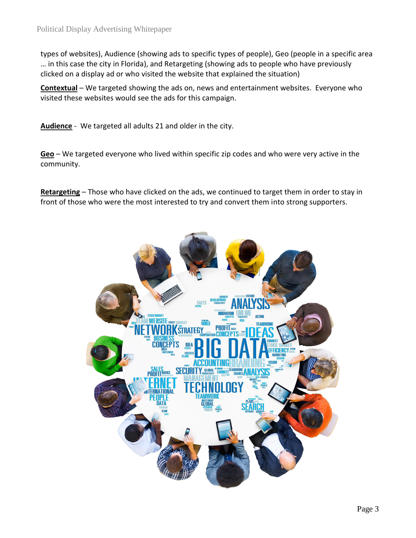types of websites), Audience (showing ads to specific types of people), Geo (people in a specific area … in this case the city in Florida), and Retargeting (showing ads to people who have previously clicked on a display ad or who visited the website that explained the situation)

**Contextual** – We targeted showing the ads on, news and entertainment websites. Everyone who visited these websites would see the ads for this campaign.

**Audience** - We targeted all adults 21 and older in the city.

**Geo** – We targeted everyone who lived within specific zip codes and who were very active in the community.

**Retargeting** – Those who have clicked on the ads, we continued to target them in order to stay in front of those who were the most interested to try and convert them into strong supporters.

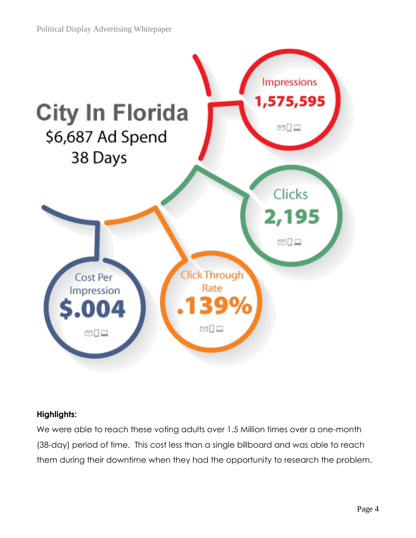

#### **Highlights:**

We were able to reach these voting adults over 1.5 Million times over a one-month (38-day) period of time. This cost less than a single billboard and was able to reach them during their downtime when they had the opportunity to research the problem.